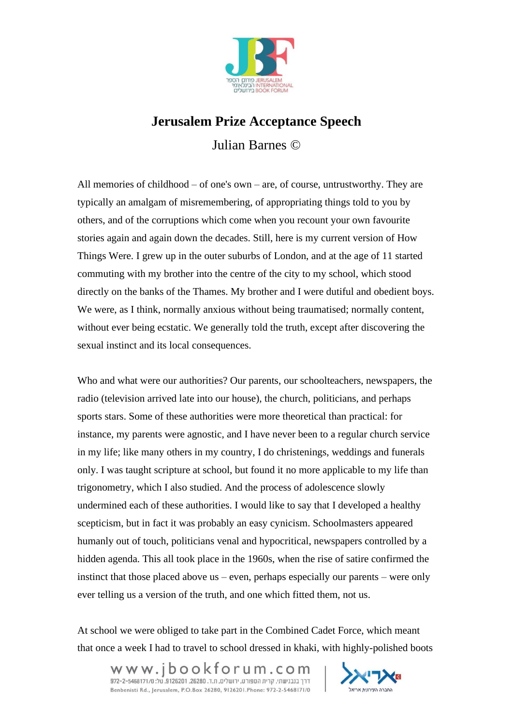

## **Jerusalem Prize Acceptance Speech** Julian Barnes ©

All memories of childhood – of one's own – are, of course, untrustworthy. They are typically an amalgam of misremembering, of appropriating things told to you by others, and of the corruptions which come when you recount your own favourite stories again and again down the decades. Still, here is my current version of How Things Were. I grew up in the outer suburbs of London, and at the age of 11 started commuting with my brother into the centre of the city to my school, which stood directly on the banks of the Thames. My brother and I were dutiful and obedient boys. We were, as I think, normally anxious without being traumatised; normally content, without ever being ecstatic. We generally told the truth, except after discovering the sexual instinct and its local consequences.

Who and what were our authorities? Our parents, our schoolteachers, newspapers, the radio (television arrived late into our house), the church, politicians, and perhaps sports stars. Some of these authorities were more theoretical than practical: for instance, my parents were agnostic, and I have never been to a regular church service in my life; like many others in my country, I do christenings, weddings and funerals only. I was taught scripture at school, but found it no more applicable to my life than trigonometry, which I also studied. And the process of adolescence slowly undermined each of these authorities. I would like to say that I developed a healthy scepticism, but in fact it was probably an easy cynicism. Schoolmasters appeared humanly out of touch, politicians venal and hypocritical, newspapers controlled by a hidden agenda. This all took place in the 1960s, when the rise of satire confirmed the instinct that those placed above us – even, perhaps especially our parents – were only ever telling us a version of the truth, and one which fitted them, not us.

At school we were obliged to take part in the Combined Cadet Force, which meant that once a week I had to travel to school dressed in khaki, with highly-polished boots

W W W.j  $b$  O O k f O r u m . C O m Benbenisti Rd., Jerusalem, P.O.Box 26280, 9126201.Phone: 972-2-5468171/0

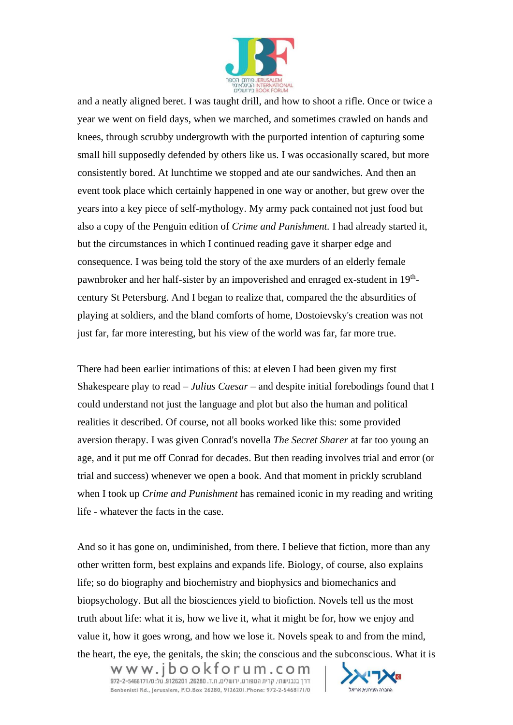

and a neatly aligned beret. I was taught drill, and how to shoot a rifle. Once or twice a year we went on field days, when we marched, and sometimes crawled on hands and knees, through scrubby undergrowth with the purported intention of capturing some small hill supposedly defended by others like us. I was occasionally scared, but more consistently bored. At lunchtime we stopped and ate our sandwiches. And then an event took place which certainly happened in one way or another, but grew over the years into a key piece of self-mythology. My army pack contained not just food but also a copy of the Penguin edition of *Crime and Punishment.* I had already started it, but the circumstances in which I continued reading gave it sharper edge and consequence. I was being told the story of the axe murders of an elderly female pawnbroker and her half-sister by an impoverished and enraged ex-student in 19<sup>th</sup>century St Petersburg. And I began to realize that, compared the the absurdities of playing at soldiers, and the bland comforts of home, Dostoievsky's creation was not just far, far more interesting, but his view of the world was far, far more true.

There had been earlier intimations of this: at eleven I had been given my first Shakespeare play to read – *Julius Caesar –* and despite initial forebodings found that I could understand not just the language and plot but also the human and political realities it described. Of course, not all books worked like this: some provided aversion therapy. I was given Conrad's novella *The Secret Sharer* at far too young an age, and it put me off Conrad for decades. But then reading involves trial and error (or trial and success) whenever we open a book. And that moment in prickly scrubland when I took up *Crime and Punishment* has remained iconic in my reading and writing life - whatever the facts in the case.

And so it has gone on, undiminished, from there. I believe that fiction, more than any other written form, best explains and expands life. Biology, of course, also explains life; so do biography and biochemistry and biophysics and biomechanics and biopsychology. But all the biosciences yield to biofiction. Novels tell us the most truth about life: what it is, how we live it, what it might be for, how we enjoy and value it, how it goes wrong, and how we lose it. Novels speak to and from the mind, the heart, the eye, the genitals, the skin; the conscious and the subconscious. What it is

W W W.j  $b$  O O k f O r u m . C O m Benbenisti Rd., Jerusalem, P.O.Box 26280, 9126201.Phone: 972-2-5468171/0